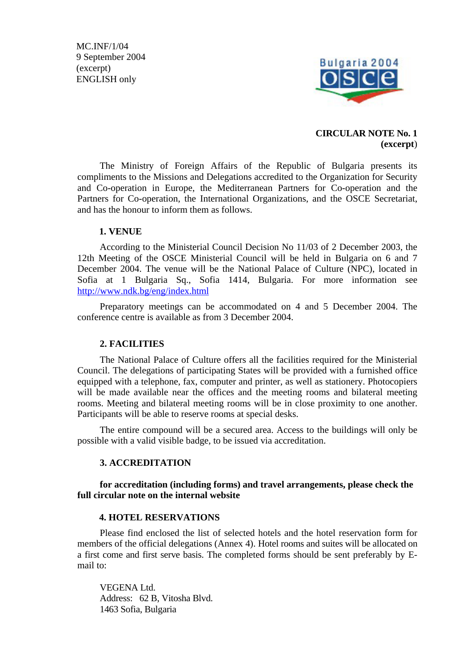MC.INF/1/04 9 September 2004 (excerpt) ENGLISH only



## **CIRCULAR NOTE No. 1 (excerpt**)

The Ministry of Foreign Affairs of the Republic of Bulgaria presents its compliments to the Missions and Delegations accredited to the Organization for Security and Co-operation in Europe, the Mediterranean Partners for Co-operation and the Partners for Co-operation, the International Organizations, and the OSCE Secretariat, and has the honour to inform them as follows.

## **1. VENUE**

According to the Ministerial Council Decision No 11/03 of 2 December 2003, the 12th Meeting of the OSCE Ministerial Council will be held in Bulgaria on 6 and 7 December 2004. The venue will be the National Palace of Culture (NPC), located in Sofia at 1 Bulgaria Sq., Sofia 1414, Bulgaria. For more information see <http://www.ndk.bg/eng/index.html>

Preparatory meetings can be accommodated on 4 and 5 December 2004. The conference centre is available as from 3 December 2004.

## **2. FACILITIES**

The National Palace of Culture offers all the facilities required for the Ministerial Council. The delegations of participating States will be provided with a furnished office equipped with a telephone, fax, computer and printer, as well as stationery. Photocopiers will be made available near the offices and the meeting rooms and bilateral meeting rooms. Meeting and bilateral meeting rooms will be in close proximity to one another. Participants will be able to reserve rooms at special desks.

The entire compound will be a secured area. Access to the buildings will only be possible with a valid visible badge, to be issued via accreditation.

## **3. ACCREDITATION**

**for accreditation (including forms) and travel arrangements, please check the full circular note on the internal website** 

#### **4. HOTEL RESERVATIONS**

Please find enclosed the list of selected hotels and the hotel reservation form for members of the official delegations (Annex 4). Hotel rooms and suites will be allocated on a first come and first serve basis. The completed forms should be sent preferably by Email to:

VEGENA Ltd. Address: 62 B, Vitosha Blvd. 1463 Sofia, Bulgaria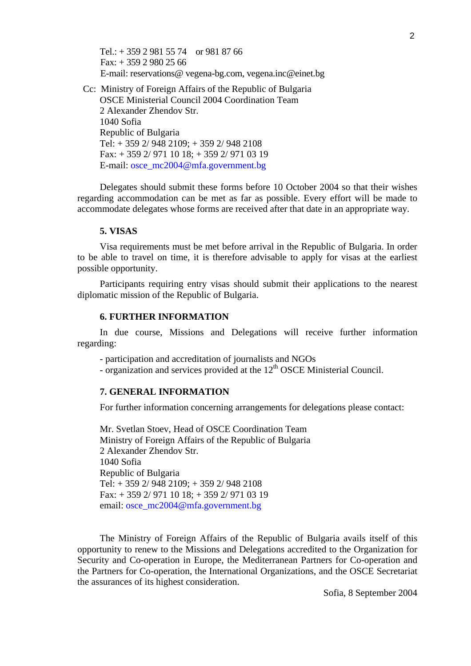Tel.:  $+ 35929815574$  or 981 87 66 Fax: + 359 2 980 25 66 E-mail: reservations@ vegena-bg.com, vegena.inc@einet.bg

Cc: Ministry of Foreign Affairs of the Republic of Bulgaria OSCE Ministerial Council 2004 Coordination Team 2 Alexander Zhendov Str. 1040 Sofia Republic of Bulgaria Tel: + 359 2/ 948 2109; + 359 2/ 948 2108 Fax: + 359 2/ 971 10 18; + 359 2/ 971 03 19 E-mail: [osce\\_mc2004@mfa.government.bg](mailto:osce_mc2004@mfa.government.bg) 

Delegates should submit these forms before 10 October 2004 so that their wishes regarding accommodation can be met as far as possible. Every effort will be made to accommodate delegates whose forms are received after that date in an appropriate way.

### **5. VISAS**

Visa requirements must be met before arrival in the Republic of Bulgaria. In order to be able to travel on time, it is therefore advisable to apply for visas at the earliest possible opportunity.

Participants requiring entry visas should submit their applications to the nearest diplomatic mission of the Republic of Bulgaria.

## **6. FURTHER INFORMATION**

In due course, Missions and Delegations will receive further information regarding:

- participation and accreditation of journalists and NGOs

- organization and services provided at the  $12<sup>th</sup> OSCE$  Ministerial Council.

### **7. GENERAL INFORMATION**

For further information concerning arrangements for delegations please contact:

Mr. Svetlan Stoev, Head of OSCE Coordination Team Ministry of Foreign Affairs of the Republic of Bulgaria 2 Alexander Zhendov Str. 1040 Sofia Republic of Bulgaria Tel: + 359 2/ 948 2109; + 359 2/ 948 2108 Fax: + 359 2/ 971 10 18; + 359 2/ 971 03 19 email: [osce\\_mc2004@mfa.government.bg](mailto:osce_mc2004@mfa.government.bg) 

The Ministry of Foreign Affairs of the Republic of Bulgaria avails itself of this opportunity to renew to the Missions and Delegations accredited to the Organization for Security and Co-operation in Europe, the Mediterranean Partners for Co-operation and the Partners for Co-operation, the International Organizations, and the OSCE Secretariat the assurances of its highest consideration.

Sofia, 8 September 2004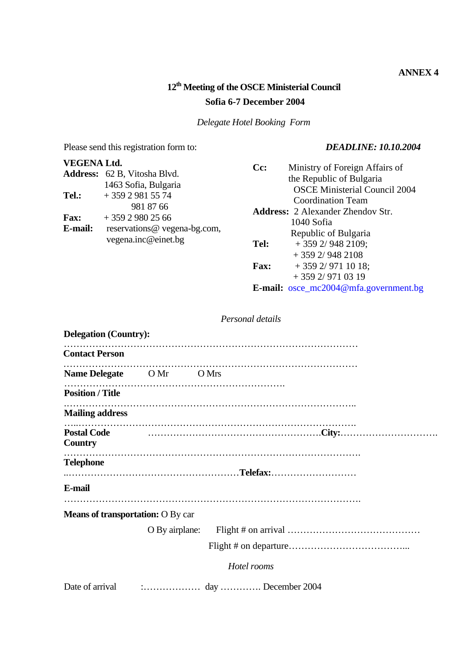## **ANNEX 4**

# **12th Meeting of the OSCE Ministerial Council Sofia 6-7 December 2004**

*Delegate Hotel Booking Form* 

Please send this registration form to: *DEADLINE: 10.10.2004* 

| <b>VEGENA Ltd.</b><br>Tel.:<br><b>Fax:</b><br>E-mail: | <b>Address:</b> 62 B, Vitosha Blvd.<br>1463 Sofia, Bulgaria<br>$+35929815574$<br>981 87 66<br>$+35929802566$<br>reservations@ vegena-bg.com,<br>vegena.inc@einet.bg | $Cc$ :<br>Tel:<br><b>Fax:</b> | Ministry of Foreign Affairs of<br>the Republic of Bulgaria<br><b>OSCE Ministerial Council 2004</b><br><b>Coordination Team</b><br><b>Address: 2 Alexander Zhendov Str.</b><br>1040 Sofia<br>Republic of Bulgaria<br>$+3592/9482109;$<br>$+3592/9482108$<br>$+3592/9711018;$<br>$+3592/9710319$ |
|-------------------------------------------------------|---------------------------------------------------------------------------------------------------------------------------------------------------------------------|-------------------------------|------------------------------------------------------------------------------------------------------------------------------------------------------------------------------------------------------------------------------------------------------------------------------------------------|
|-------------------------------------------------------|---------------------------------------------------------------------------------------------------------------------------------------------------------------------|-------------------------------|------------------------------------------------------------------------------------------------------------------------------------------------------------------------------------------------------------------------------------------------------------------------------------------------|

**E-mail:** [osce\\_mc2004@mfa.government.bg](mailto:osce_mc2004@mfa.government.bg) 

## *Personal details*

| <b>Delegation (Country):</b>             |                                                                                                                                                                                                                                                                                                                                              |
|------------------------------------------|----------------------------------------------------------------------------------------------------------------------------------------------------------------------------------------------------------------------------------------------------------------------------------------------------------------------------------------------|
| <b>Contact Person</b>                    |                                                                                                                                                                                                                                                                                                                                              |
| Name Delegate OMr OMrs                   |                                                                                                                                                                                                                                                                                                                                              |
| <b>Position / Title</b>                  |                                                                                                                                                                                                                                                                                                                                              |
| <b>Mailing address</b>                   |                                                                                                                                                                                                                                                                                                                                              |
| <b>Postal Code</b><br>Country            |                                                                                                                                                                                                                                                                                                                                              |
| <b>Telephone</b>                         |                                                                                                                                                                                                                                                                                                                                              |
| E-mail                                   |                                                                                                                                                                                                                                                                                                                                              |
| <b>Means of transportation:</b> O By car |                                                                                                                                                                                                                                                                                                                                              |
|                                          |                                                                                                                                                                                                                                                                                                                                              |
|                                          |                                                                                                                                                                                                                                                                                                                                              |
|                                          | Hotel rooms                                                                                                                                                                                                                                                                                                                                  |
| Date of arrival                          | $\ldots$ $\ldots$ $\ldots$ $\ldots$ $\ldots$ $\ldots$ $\ldots$ $\ldots$ $\ldots$ $\ldots$ $\ldots$ $\ldots$ $\ldots$ $\ldots$ $\ldots$ $\ldots$ $\ldots$ $\ldots$ $\ldots$ $\ldots$ $\ldots$ $\ldots$ $\ldots$ $\ldots$ $\ldots$ $\ldots$ $\ldots$ $\ldots$ $\ldots$ $\ldots$ $\ldots$ $\ldots$ $\ldots$ $\ldots$ $\ldots$ $\ldots$ $\ldots$ |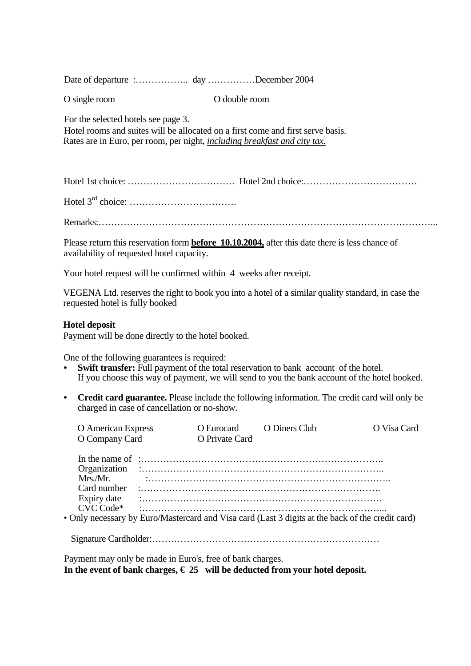Date of departure :...................................December 2004

O single room O double room

For the selected hotels see page 3.

Hotel rooms and suites will be allocated on a first come and first serve basis. Rates are in Euro, per room, per night, *including breakfast and city tax.* 

Hotel 1st choice: ……………………………. Hotel 2nd choice:………………………………

Hotel 3rd choice: …………………………….

Remarks:……………………………………………………………………………………………...

Please return this reservation form **before 10.10.2004,** after this date there is less chance of availability of requested hotel capacity.

Your hotel request will be confirmed within 4 weeks after receipt.

VEGENA Ltd. reserves the right to book you into a hotel of a similar quality standard, in case the requested hotel is fully booked

## **Hotel deposit**

Payment will be done directly to the hotel booked.

One of the following guarantees is required:

- **Swift transfer:** Full payment of the total reservation to bank account of the hotel. If you choose this way of payment, we will send to you the bank account of the hotel booked.
- **Credit card guarantee.** Please include the following information. The credit card will only be charged in case of cancellation or no-show.

| <b>O</b> American Express |  | O Eurocard O Diners Club |                                                                                                  | O Visa Card |
|---------------------------|--|--------------------------|--------------------------------------------------------------------------------------------------|-------------|
| O Company Card            |  | O Private Card           |                                                                                                  |             |
|                           |  |                          |                                                                                                  |             |
|                           |  |                          |                                                                                                  |             |
| Mrs./Mr.                  |  |                          |                                                                                                  |             |
| Card number               |  |                          |                                                                                                  |             |
|                           |  |                          |                                                                                                  |             |
| CVC Code*                 |  |                          |                                                                                                  |             |
|                           |  |                          | • Only necessary by Euro/Mastercard and Visa card (Last 3 digits at the back of the credit card) |             |
|                           |  |                          |                                                                                                  |             |

Payment may only be made in Euro's, free of bank charges.

In the event of bank charges,  $\epsilon$  25 will be deducted from your hotel deposit.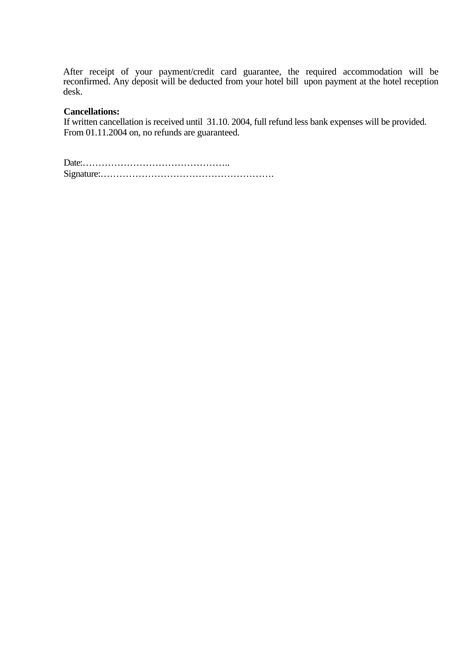After receipt of your payment/credit card guarantee, the required accommodation will be reconfirmed. Any deposit will be deducted from your hotel bill upon payment at the hotel reception desk.

## **Cancellations:**

If written cancellation is received until 31.10. 2004, full refund less bank expenses will be provided. From 01.11.2004 on, no refunds are guaranteed.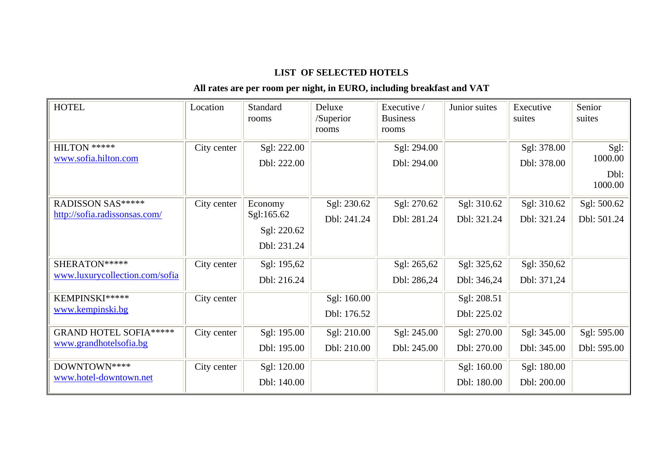## **LIST OF SELECTED HOTELS**

## **All rates are per room per night, in EURO, including breakfast and VAT**

| <b>HOTEL</b>                                             | Location    | Standard<br>rooms                                   | Deluxe<br>/Superior<br>rooms | Executive /<br><b>Business</b><br>rooms | Junior suites              | Executive<br>suites        | Senior<br>suites                   |
|----------------------------------------------------------|-------------|-----------------------------------------------------|------------------------------|-----------------------------------------|----------------------------|----------------------------|------------------------------------|
| HILTON *****<br>www.sofia.hilton.com                     | City center | Sgl: 222.00<br>Dbl: 222.00                          |                              | Sgl: 294.00<br>Dbl: 294.00              |                            | Sgl: 378.00<br>Dbl: 378.00 | Sgl:<br>1000.00<br>Dbl:<br>1000.00 |
| RADISSON SAS*****<br>http://sofia.radissonsas.com/       | City center | Economy<br>Sgl:165.62<br>Sgl: 220.62<br>Dbl: 231.24 | Sgl: 230.62<br>Dbl: 241.24   | Sgl: 270.62<br>Dbl: 281.24              | Sgl: 310.62<br>Dbl: 321.24 | Sgl: 310.62<br>Dbl: 321.24 | Sgl: 500.62<br>Dbl: 501.24         |
| SHERATON*****<br>www.luxurycollection.com/sofia          | City center | Sgl: 195,62<br>Dbl: 216.24                          |                              | Sgl: 265,62<br>Dbl: 286,24              | Sgl: 325,62<br>Dbl: 346,24 | Sgl: 350,62<br>Dbl: 371,24 |                                    |
| KEMPINSKI*****<br>www.kempinski.bg                       | City center |                                                     | Sgl: 160.00<br>Dbl: 176.52   |                                         | Sgl: 208.51<br>Dbl: 225.02 |                            |                                    |
| <b>GRAND HOTEL SOFIA *****</b><br>www.grandhotelsofia.bg | City center | Sgl: 195.00<br>Dbl: 195.00                          | Sgl: 210.00<br>Dbl: 210.00   | Sgl: 245.00<br>Dbl: 245.00              | Sgl: 270.00<br>Dbl: 270.00 | Sgl: 345.00<br>Dbl: 345.00 | Sgl: 595.00<br>Dbl: 595.00         |
| DOWNTOWN ****<br>www.hotel-downtown.net                  | City center | Sgl: 120.00<br>Dbl: 140.00                          |                              |                                         | Sgl: 160.00<br>Dbl: 180.00 | Sgl: 180.00<br>Dbl: 200.00 |                                    |